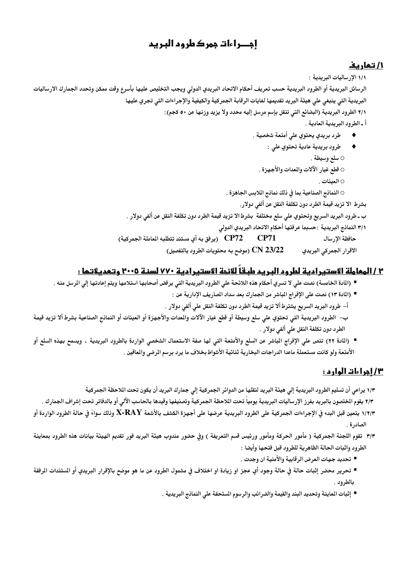# إجــراءات جهر ك طر وم البـريم

### <u>1/ تھاریف</u>

١/١ الإرساليات البريدية :

الرسائل البريدية أو الطرود البريدية حسب تعريف أحكام الاتحاد البريدي الدولى ويجب التخليص عليها بأسرع وقت ممكن وتحدد الجمارك الارساليات البريدية التي ينبغي على هيئة البريد تقديمها لغايات الرقابة الجمركية والكيفية والإجراءات التي تجري عليها ٢/١ الطرود البريدية (البضائع التي تنقل بإسم مرسل إليه محدد ولا يزيد وزنها عن ٥٠ كجم): أ ـ الطرود البريدية العادية .

- طرد بريدي يحتوي على أمتعة شخصية . ٠
- طرود بريدية عادية تحتوي على :  $\blacklozenge$ ○ سلع وسيطة . ○ قطع غيار الآلات والمعدات والأجهزة . ○ العينات .

النمانج الصناعية بما في ذلك نمانج اللابس الجاهزة .  $\circ$ 

بشرط الا تزيد قيمة الطرد دون تكلفة النقل عن ألفي دولار.

ب ـ طرود البريد السريع وتحتوي على سلع مختلفة بشرط الا تزيد قيمة الطرد دون تكلفة النقل عن ألفى دولار .

٣/١ النمانج البريدية : حسبما عرفتها أحكام الاتحاد البريدي الدولي

حافظة الإرسال CN 23/22 (موضح به محتويات الطرود بالتفصيل) الاقرار الجمركي البريدي

### ٢ / المعاملة الاستبرادية لطرود البريد طبقاً للائمة الاستبرادية ٧٧٠ لسنة ٢٠٠٥ وتعديلاتها :

- (المادة الخامسة) نصت على لا تسري أحكام هذه اللائحة على الطرود البريدية التي يرفض أصحابها استلامها ويتم إعادتها إلى الرسل منه .
	- (المادة ١٣) نصت على الإفراج المباشر من الجمارك بعد سداد المباريف الإدارية عن :
	- أ– طرود البريد السريع يشترط ألا تزيد قيمة الطرد دون تكلفة النقل على ألفي دولار .
- ب– الطرود البريدية التي تحتوي على سلع وسيطة أو قطع غيار الآلات والمدات والأجهزة أو العينات أو النماذج الصناعية بشرط ألا تزيد قيمة الطرد دون تكلفة النقل على ألفي دولار .
- (المادة ٢٢) تنص على الإفراج المباشر عن السلع والأمتعة التي لها صفة الاستعمال الشخصي الواردة بالطرود البريدية ، ويسمح بهذه السلع أو الأمتعة ولو كانت مستعملة ماعدا الدراجات البخارية ثنائية الأشواط بخلاف ما يرد برسم الرضى والماقين .

### <u>۳/ إجراءات الوارد :</u>

١/٣ يراعى أن تسليم الطرود البريدية إلى هيئة البريد لنقلها من الدوائر الجمركية إلى جمارك البريد أن يكون تحت اللاحظة الجمركية

٢/٣ يقوم الختصون بالبريد بفرز الإرساليات البريدية يومياً تحت اللاحظة الجمركية وتصنيفها وقيدها بالحاسب الآلى أو بالدفاتر تحت إشراف الجمارك . ١/٢/٣ يتعين قبل البدء في الإجراءات الجمركية على الطرود البريدية عرضها على أجهزة الكشف بالأشعة X-RAY وذلك سواءً فى حالة الطرود الواردة أو الصادرة .

- ٣/٣ تقوم اللجنة الجمركية ( مأمور الحركة ومأمور ورئيس قسم التعريفة ) وفى حضور مندوب هيئة البريد فور تقديم الهيئة بيانات هذه الطرود بمعاينة الطرود واثبات الحالة الظاهرية للطرود قبل فتحها وأيضا :
	- تحديد جهات العرض الرقابية والأمنية ان وجدت .
- تحرير محضر إثبات حالة في حالة وجود أي عجز او زيادة او اختلاف في مشمول الطرود عن ما هو موضح بالإقرار البريدي أو الستندات الرفقة بالطرود .
	- إثبات الماينة وتحديد البند والقيمة والضرائب والرسوم الستحقة على النماذج البريدية .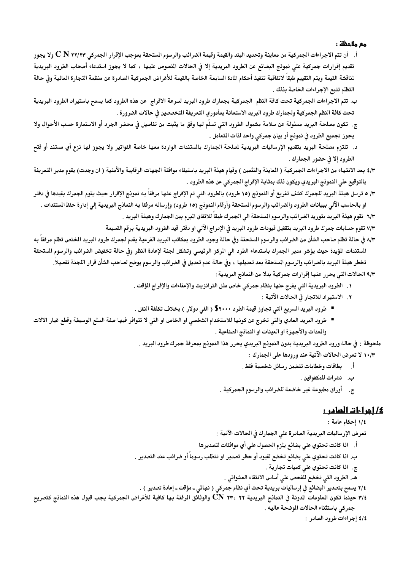#### <u>مع ملاحظة</u> :

- أ. أن تتم الاجراءات الجمركية من معاينة وتحديد البند والقيمة وقيمة الضرائب والرسوم الستحقة بموجب الإقرار الجمركي C N ٢٢/٢٣ ولا يجوز تقديم إقرارات جمركية على نمونج البضائع عن الطرود البريدية إلا فى الحالات النصوص عليها ، كما لا يجوز استدعاء أصحاب الطرود البريدية لناقشة القيمة ويتم التقييم طبقاً لاتفاقية تنفيذ أحكام المادة السابعة الخباصة بالقيمة للأغراض الجمركية الصادرة عن منظمة التجارة العالية وفى حالة التظلم تتبع الإجراءات الخاصة بذلك .
- ب. تتم الاجراءات الجمركية تحت كافة النظم الجمركية بجمارك طرود البريد لسرعة الافراج عن هذه الطرود كما يسمح باستيراد الطرود البريدية تحت كافة النظم الجمركية ولجمارك طرود البريد الاستعانة بمأموري التعريفة التخصصين في حالات الضرورة .
- ج. تكون مصلحة البريد مسئولة عن سلامة مشمول الطرود التى تسلّم لها وفق ما يثبت من تفاصيل فى محضر الجرد أو الاستمارة حسب الأحوال ولا يجوز تجميع الطرود في نموذج أو بيان جمركي واحد لذات التعامل .
- د. تلتزم مصلحة البريد بتقديم الإرساليات البريدية لصلحة الجمارك بالستندات الواردة معها خاصة الفواتير ولا يجوز لها نزع أي مستند أو فتح الطرود إلا في حضور الجمارك .
- ٤/٣ بعد الانتهاء من الاجراءات الجمركية ( الماينة والتثمين ) وقيام هيئة البريد باستيفاء موافقة الجهات الرقابية والأمنية ( ان وجدت) يقوم مدير التعريفة بالتوقيع على النمونج البريدي ويكون ذلك بمثابة الإفراج الجمركي عن هذه الطرود .
- ٣/ ٥ ترسل هيئة البريد للجمرك كشف تفريغ أو النمونج (١٥ طرود) بالطرود التى تم الإفراج عنها مرفقاً به نمونج الإقرار حيث يقوم الجمرك بقيدها في دفتر او بالحاسب الآلي ببيانات الطرود والضرائب والرسوم الستحقة وأرقام النموذج (١٥ طرود) وإرساله مرفقا به النمانج البريدية إلى إدارة حفظ الستندات .
	- ٦/٣ تقوم هيئة البريد بتوريد الضرائب والرسوم المستحقة الى الجمرك طبقاً للاتفاق البرم بين الجمارك وهيئة البريد .
	- ٧/٣ تقوم حسابات جمرك طرود البريد بتقفيل قيودات طرود البريد فى الإدراج الآلى او دفتر قيد الطرود البريدية برقم القسيمة
- ٨/٣ في حالة تظلم صاحب الشأن من الضرائب والرسوم الستحقة وفي حالة وجود الطرود بمكاتب البريد الفرعية يقدم لجمرك طرود البريد الختص تظلم مرفقا بـه المتندات الؤيدة حيث يؤشر مدير الجمرك باستدعاء الطرد الى الركز الرئيسى وتشكل لجنة لإعادة النظر وفى حالة تخفيض الضرائب والرسوم الستحقة تخطر هيئة البريد بالضرائب والرسوم الستحقة بعد تعديلها ، وفى حالة عدم تعديل فى الضرائب والرسوم يوضح لصاحب الشأن قرار اللجنة تفصيلاً. ٩/٣ الحالات التي يحرر عنها إقرارات جمركية بدلا من النمانج البريدية :
	- ١. الطرود البريدية التي يفرج عنها بنظام جمركي خاص مثل الترانزيت والإعفاءات والإفراج المؤقت .
		- ٢. الاستيراد للاتجار في الحالات الآتية :
	- طرود البريد السريع التي تجاوز قيمة الطرد ٢٠٠٠\$ ( الفي دولار ) بخلاف تكلفة النقل .
- طرود البريد العادي والتي تخرج عن كونها للاستخدام الشخصي او الخاص او التي لا تتوافر فيها صفة السلع الوسيطة وقطع غيار الالات والمدات والأجهزة او العينات او النمانج الصناعية .
	- ملحوظة : في حالة ورود الطرود البريدية بدون النموذج البريدي يحرر هذا النموذج بمعرفة جمرك طرود البريد .
		- ١٠/٣ لا تعرض الحالات الآتية عند ورودها على الجمارك :
			- أ. بطاقات وخطابات تتضمن رسائل شخصية فقط .
				- ب. نشرات للمكفوفين .
		- ج. ﴿ أُوراقِ مطبوعة غير خاضعة للضرائب والرسوم الجمركية .

#### <u>٤/ أجراءات العادر :</u>

١/٤ إحكام عامة :

تعرض الإرساليات البريدية الصادرة على الجمارك في الحالات الآتية :

- أ. اذا كانت تحتوي على بضائع يلزم الحصول على أي موافقات لتصديرها
- ب. اذا كانت تحتوي علي بضائع تخضع لقيود أو حظر تصدير او تتطلب رسوماً أو ضرائب عند التصدير .
	- ج. اذا كانت تحتوي على كميات تجارية .
	- هـ. الطرود التي تخضع للفحص على أساس الانتقاء العشوائي .
- ٢/٤ يسمح بتصدير البضائع في إرساليات بريدية تحت أي نظام جمركي ( نهائي ـ مؤقت ـ إعادة تصدير ) .
- ٣/٤ حينما تكون العلومات الدونة في النماذج البريدية CN ٢٣، ٢٢ والوثائق الرفقة بها كافية للأغراض الجمركية يجب قبول هذه النماذج كتصريح جمركي باستثناء الحالات الموضحة عاليه .
	- ٤/٤ إجراءات طرود الصادر: